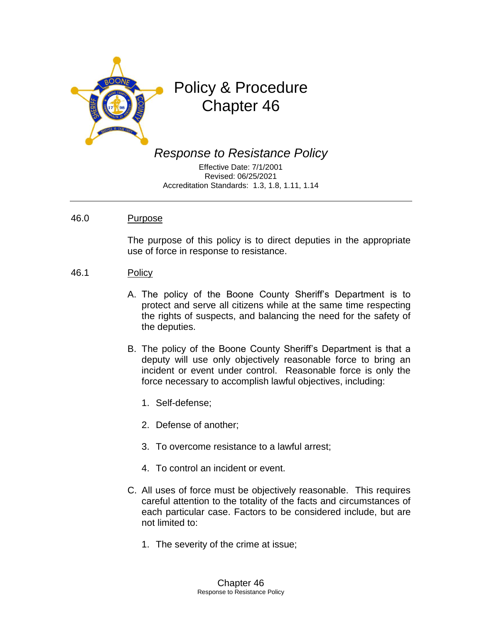

# Policy & Procedure Chapter 46

*Response to Resistance Policy*

Effective Date: 7/1/2001 Revised: 06/25/2021 Accreditation Standards: 1.3, 1.8, 1.11, 1.14

#### 46.0 Purpose

The purpose of this policy is to direct deputies in the appropriate use of force in response to resistance.

- 46.1 Policy
	- A. The policy of the Boone County Sheriff's Department is to protect and serve all citizens while at the same time respecting the rights of suspects, and balancing the need for the safety of the deputies.
	- B. The policy of the Boone County Sheriff's Department is that a deputy will use only objectively reasonable force to bring an incident or event under control. Reasonable force is only the force necessary to accomplish lawful objectives, including:
		- 1. Self-defense;
		- 2. Defense of another;
		- 3. To overcome resistance to a lawful arrest;
		- 4. To control an incident or event.
	- C. All uses of force must be objectively reasonable. This requires careful attention to the totality of the facts and circumstances of each particular case. Factors to be considered include, but are not limited to:
		- 1. The severity of the crime at issue;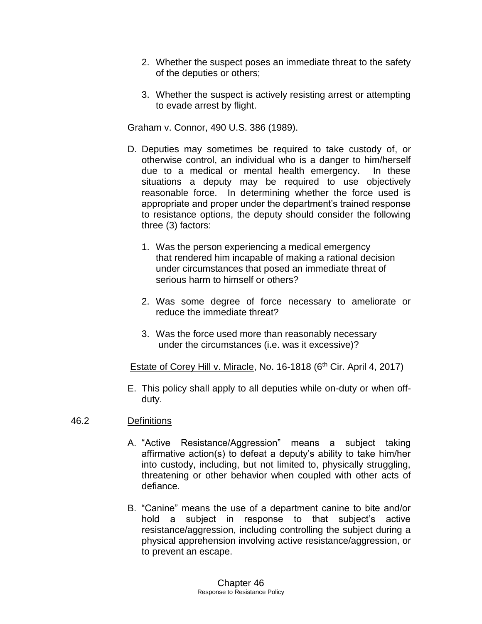- 2. Whether the suspect poses an immediate threat to the safety of the deputies or others;
- 3. Whether the suspect is actively resisting arrest or attempting to evade arrest by flight.

Graham v. Connor, 490 U.S. 386 (1989).

- D. Deputies may sometimes be required to take custody of, or otherwise control, an individual who is a danger to him/herself due to a medical or mental health emergency. In these situations a deputy may be required to use objectively reasonable force. In determining whether the force used is appropriate and proper under the department's trained response to resistance options, the deputy should consider the following three (3) factors:
	- 1. Was the person experiencing a medical emergency that rendered him incapable of making a rational decision under circumstances that posed an immediate threat of serious harm to himself or others?
	- 2. Was some degree of force necessary to ameliorate or reduce the immediate threat?
	- 3. Was the force used more than reasonably necessary under the circumstances (i.e. was it excessive)?

Estate of Corey Hill v. Miracle, No. 16-1818 ( $6<sup>th</sup>$  Cir. April 4, 2017)

E. This policy shall apply to all deputies while on-duty or when offduty.

# 46.2 Definitions

- A. "Active Resistance/Aggression" means a subject taking affirmative action(s) to defeat a deputy's ability to take him/her into custody, including, but not limited to, physically struggling, threatening or other behavior when coupled with other acts of defiance.
- B. "Canine" means the use of a department canine to bite and/or hold a subject in response to that subject's active resistance/aggression, including controlling the subject during a physical apprehension involving active resistance/aggression, or to prevent an escape.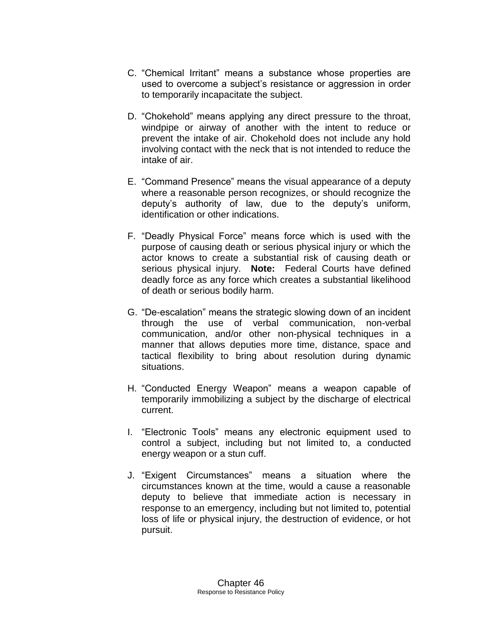- C. "Chemical Irritant" means a substance whose properties are used to overcome a subject's resistance or aggression in order to temporarily incapacitate the subject.
- D. "Chokehold" means applying any direct pressure to the throat, windpipe or airway of another with the intent to reduce or prevent the intake of air. Chokehold does not include any hold involving contact with the neck that is not intended to reduce the intake of air.
- E. "Command Presence" means the visual appearance of a deputy where a reasonable person recognizes, or should recognize the deputy's authority of law, due to the deputy's uniform, identification or other indications.
- F. "Deadly Physical Force" means force which is used with the purpose of causing death or serious physical injury or which the actor knows to create a substantial risk of causing death or serious physical injury. **Note:** Federal Courts have defined deadly force as any force which creates a substantial likelihood of death or serious bodily harm.
- G. "De-escalation" means the strategic slowing down of an incident through the use of verbal communication, non-verbal communication, and/or other non-physical techniques in a manner that allows deputies more time, distance, space and tactical flexibility to bring about resolution during dynamic situations.
- H. "Conducted Energy Weapon" means a weapon capable of temporarily immobilizing a subject by the discharge of electrical current.
- I. "Electronic Tools" means any electronic equipment used to control a subject, including but not limited to, a conducted energy weapon or a stun cuff.
- J. "Exigent Circumstances" means a situation where the circumstances known at the time, would a cause a reasonable deputy to believe that immediate action is necessary in response to an emergency, including but not limited to, potential loss of life or physical injury, the destruction of evidence, or hot pursuit.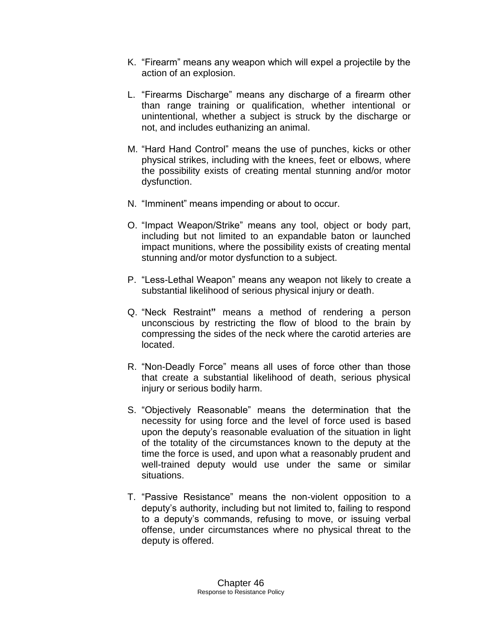- K. "Firearm" means any weapon which will expel a projectile by the action of an explosion.
- L. "Firearms Discharge" means any discharge of a firearm other than range training or qualification, whether intentional or unintentional, whether a subject is struck by the discharge or not, and includes euthanizing an animal.
- M. "Hard Hand Control" means the use of punches, kicks or other physical strikes, including with the knees, feet or elbows, where the possibility exists of creating mental stunning and/or motor dysfunction.
- N. "Imminent" means impending or about to occur.
- O. "Impact Weapon/Strike" means any tool, object or body part, including but not limited to an expandable baton or launched impact munitions, where the possibility exists of creating mental stunning and/or motor dysfunction to a subject.
- P. "Less-Lethal Weapon" means any weapon not likely to create a substantial likelihood of serious physical injury or death.
- Q. "Neck Restraint**"** means a method of rendering a person unconscious by restricting the flow of blood to the brain by compressing the sides of the neck where the carotid arteries are located.
- R. "Non-Deadly Force" means all uses of force other than those that create a substantial likelihood of death, serious physical injury or serious bodily harm.
- S. "Objectively Reasonable" means the determination that the necessity for using force and the level of force used is based upon the deputy's reasonable evaluation of the situation in light of the totality of the circumstances known to the deputy at the time the force is used, and upon what a reasonably prudent and well-trained deputy would use under the same or similar situations.
- T. "Passive Resistance" means the non-violent opposition to a deputy's authority, including but not limited to, failing to respond to a deputy's commands, refusing to move, or issuing verbal offense, under circumstances where no physical threat to the deputy is offered.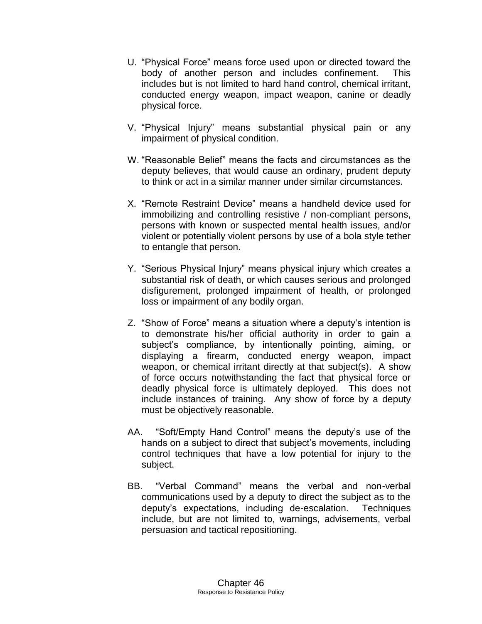- U. "Physical Force" means force used upon or directed toward the body of another person and includes confinement. This includes but is not limited to hard hand control, chemical irritant, conducted energy weapon, impact weapon, canine or deadly physical force.
- V. "Physical Injury" means substantial physical pain or any impairment of physical condition.
- W. "Reasonable Belief" means the facts and circumstances as the deputy believes, that would cause an ordinary, prudent deputy to think or act in a similar manner under similar circumstances.
- X. "Remote Restraint Device" means a handheld device used for immobilizing and controlling resistive / non-compliant persons, persons with known or suspected mental health issues, and/or violent or potentially violent persons by use of a bola style tether to entangle that person.
- Y. "Serious Physical Injury" means physical injury which creates a substantial risk of death, or which causes serious and prolonged disfigurement, prolonged impairment of health, or prolonged loss or impairment of any bodily organ.
- Z. "Show of Force" means a situation where a deputy's intention is to demonstrate his/her official authority in order to gain a subject's compliance, by intentionally pointing, aiming, or displaying a firearm, conducted energy weapon, impact weapon, or chemical irritant directly at that subject(s). A show of force occurs notwithstanding the fact that physical force or deadly physical force is ultimately deployed. This does not include instances of training. Any show of force by a deputy must be objectively reasonable.
- AA. "Soft/Empty Hand Control" means the deputy's use of the hands on a subject to direct that subject's movements, including control techniques that have a low potential for injury to the subject.
- BB. "Verbal Command" means the verbal and non-verbal communications used by a deputy to direct the subject as to the deputy's expectations, including de-escalation. Techniques include, but are not limited to, warnings, advisements, verbal persuasion and tactical repositioning.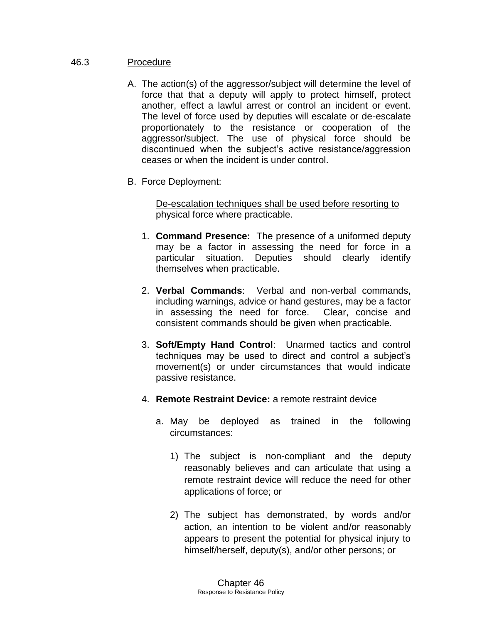### 46.3 Procedure

- A. The action(s) of the aggressor/subject will determine the level of force that that a deputy will apply to protect himself, protect another, effect a lawful arrest or control an incident or event. The level of force used by deputies will escalate or de-escalate proportionately to the resistance or cooperation of the aggressor/subject. The use of physical force should be discontinued when the subject's active resistance/aggression ceases or when the incident is under control.
- B. Force Deployment:

De-escalation techniques shall be used before resorting to physical force where practicable.

- 1. **Command Presence:** The presence of a uniformed deputy may be a factor in assessing the need for force in a particular situation. Deputies should clearly identify themselves when practicable.
- 2. **Verbal Commands**: Verbal and non-verbal commands, including warnings, advice or hand gestures, may be a factor in assessing the need for force. Clear, concise and consistent commands should be given when practicable.
- 3. **Soft/Empty Hand Control**: Unarmed tactics and control techniques may be used to direct and control a subject's movement(s) or under circumstances that would indicate passive resistance.
- 4. **Remote Restraint Device:** a remote restraint device
	- a. May be deployed as trained in the following circumstances:
		- 1) The subject is non-compliant and the deputy reasonably believes and can articulate that using a remote restraint device will reduce the need for other applications of force; or
		- 2) The subject has demonstrated, by words and/or action, an intention to be violent and/or reasonably appears to present the potential for physical injury to himself/herself, deputy(s), and/or other persons; or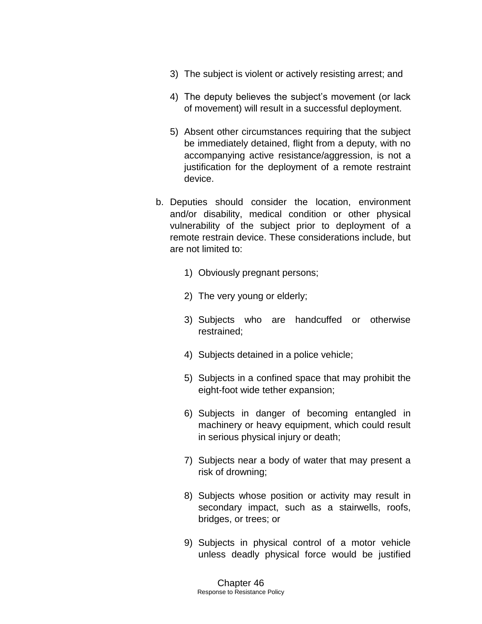- 3) The subject is violent or actively resisting arrest; and
- 4) The deputy believes the subject's movement (or lack of movement) will result in a successful deployment.
- 5) Absent other circumstances requiring that the subject be immediately detained, flight from a deputy, with no accompanying active resistance/aggression, is not a justification for the deployment of a remote restraint device.
- b. Deputies should consider the location, environment and/or disability, medical condition or other physical vulnerability of the subject prior to deployment of a remote restrain device. These considerations include, but are not limited to:
	- 1) Obviously pregnant persons;
	- 2) The very young or elderly;
	- 3) Subjects who are handcuffed or otherwise restrained;
	- 4) Subjects detained in a police vehicle;
	- 5) Subjects in a confined space that may prohibit the eight-foot wide tether expansion;
	- 6) Subjects in danger of becoming entangled in machinery or heavy equipment, which could result in serious physical injury or death;
	- 7) Subjects near a body of water that may present a risk of drowning;
	- 8) Subjects whose position or activity may result in secondary impact, such as a stairwells, roofs, bridges, or trees; or
	- 9) Subjects in physical control of a motor vehicle unless deadly physical force would be justified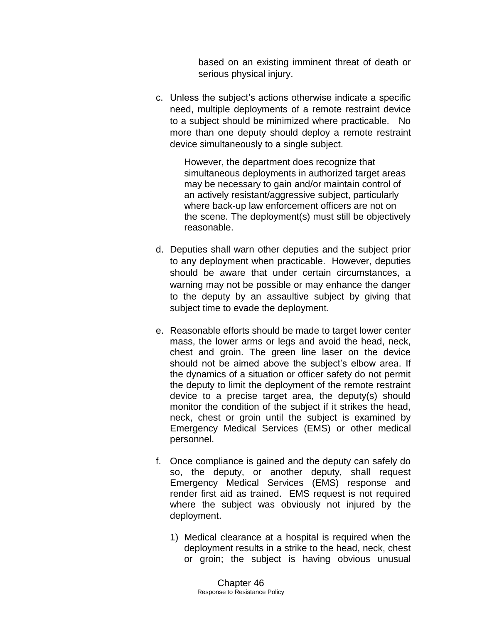based on an existing imminent threat of death or serious physical injury.

c. Unless the subject's actions otherwise indicate a specific need, multiple deployments of a remote restraint device to a subject should be minimized where practicable. No more than one deputy should deploy a remote restraint device simultaneously to a single subject.

> However, the department does recognize that simultaneous deployments in authorized target areas may be necessary to gain and/or maintain control of an actively resistant/aggressive subject, particularly where back-up law enforcement officers are not on the scene. The deployment(s) must still be objectively reasonable.

- d. Deputies shall warn other deputies and the subject prior to any deployment when practicable. However, deputies should be aware that under certain circumstances, a warning may not be possible or may enhance the danger to the deputy by an assaultive subject by giving that subject time to evade the deployment.
- e. Reasonable efforts should be made to target lower center mass, the lower arms or legs and avoid the head, neck, chest and groin. The green line laser on the device should not be aimed above the subject's elbow area. If the dynamics of a situation or officer safety do not permit the deputy to limit the deployment of the remote restraint device to a precise target area, the deputy(s) should monitor the condition of the subject if it strikes the head, neck, chest or groin until the subject is examined by Emergency Medical Services (EMS) or other medical personnel.
- f. Once compliance is gained and the deputy can safely do so, the deputy, or another deputy, shall request Emergency Medical Services (EMS) response and render first aid as trained. EMS request is not required where the subject was obviously not injured by the deployment.
	- 1) Medical clearance at a hospital is required when the deployment results in a strike to the head, neck, chest or groin; the subject is having obvious unusual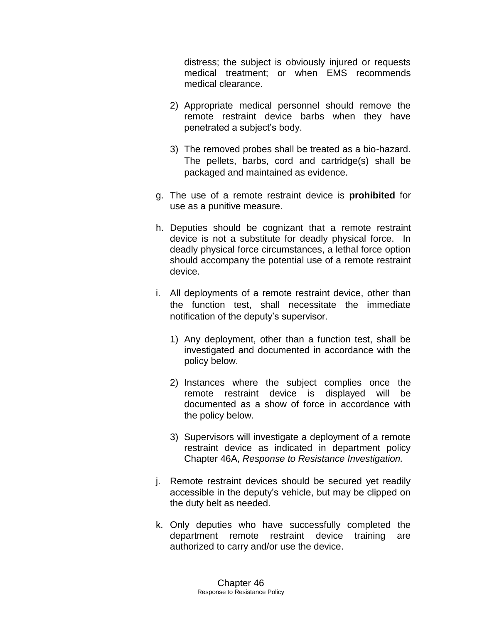distress; the subject is obviously injured or requests medical treatment; or when EMS recommends medical clearance.

- 2) Appropriate medical personnel should remove the remote restraint device barbs when they have penetrated a subject's body.
- 3) The removed probes shall be treated as a bio-hazard. The pellets, barbs, cord and cartridge(s) shall be packaged and maintained as evidence.
- g. The use of a remote restraint device is **prohibited** for use as a punitive measure.
- h. Deputies should be cognizant that a remote restraint device is not a substitute for deadly physical force. In deadly physical force circumstances, a lethal force option should accompany the potential use of a remote restraint device.
- i. All deployments of a remote restraint device, other than the function test, shall necessitate the immediate notification of the deputy's supervisor.
	- 1) Any deployment, other than a function test, shall be investigated and documented in accordance with the policy below.
	- 2) Instances where the subject complies once the remote restraint device is displayed will be documented as a show of force in accordance with the policy below.
	- 3) Supervisors will investigate a deployment of a remote restraint device as indicated in department policy Chapter 46A, *Response to Resistance Investigation.*
- j. Remote restraint devices should be secured yet readily accessible in the deputy's vehicle, but may be clipped on the duty belt as needed.
- k. Only deputies who have successfully completed the department remote restraint device training are authorized to carry and/or use the device.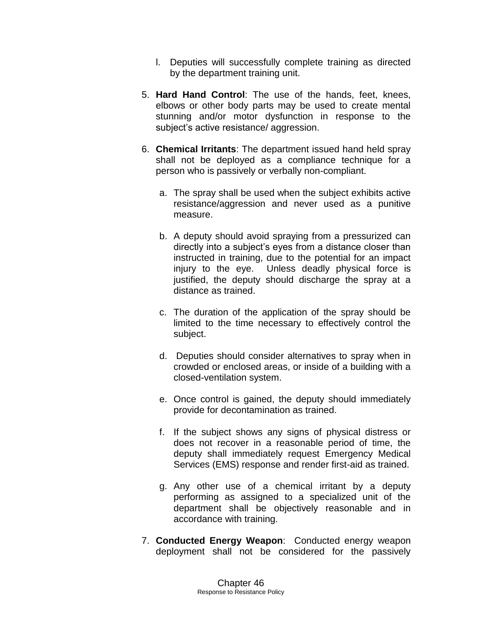- l. Deputies will successfully complete training as directed by the department training unit.
- 5. **Hard Hand Control**: The use of the hands, feet, knees, elbows or other body parts may be used to create mental stunning and/or motor dysfunction in response to the subject's active resistance/ aggression.
- 6. **Chemical Irritants**: The department issued hand held spray shall not be deployed as a compliance technique for a person who is passively or verbally non-compliant.
	- a. The spray shall be used when the subject exhibits active resistance/aggression and never used as a punitive measure.
	- b. A deputy should avoid spraying from a pressurized can directly into a subject's eyes from a distance closer than instructed in training, due to the potential for an impact injury to the eye. Unless deadly physical force is justified, the deputy should discharge the spray at a distance as trained.
	- c. The duration of the application of the spray should be limited to the time necessary to effectively control the subject.
	- d. Deputies should consider alternatives to spray when in crowded or enclosed areas, or inside of a building with a closed-ventilation system.
	- e. Once control is gained, the deputy should immediately provide for decontamination as trained.
	- f. If the subject shows any signs of physical distress or does not recover in a reasonable period of time, the deputy shall immediately request Emergency Medical Services (EMS) response and render first-aid as trained.
	- g. Any other use of a chemical irritant by a deputy performing as assigned to a specialized unit of the department shall be objectively reasonable and in accordance with training.
- 7. **Conducted Energy Weapon**: Conducted energy weapon deployment shall not be considered for the passively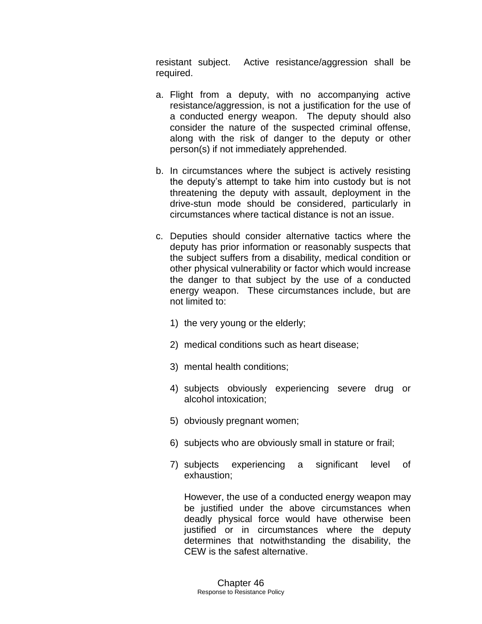resistant subject. Active resistance/aggression shall be required.

- a. Flight from a deputy, with no accompanying active resistance/aggression, is not a justification for the use of a conducted energy weapon. The deputy should also consider the nature of the suspected criminal offense, along with the risk of danger to the deputy or other person(s) if not immediately apprehended.
- b. In circumstances where the subject is actively resisting the deputy's attempt to take him into custody but is not threatening the deputy with assault, deployment in the drive-stun mode should be considered, particularly in circumstances where tactical distance is not an issue.
- c. Deputies should consider alternative tactics where the deputy has prior information or reasonably suspects that the subject suffers from a disability, medical condition or other physical vulnerability or factor which would increase the danger to that subject by the use of a conducted energy weapon. These circumstances include, but are not limited to:
	- 1) the very young or the elderly;
	- 2) medical conditions such as heart disease;
	- 3) mental health conditions;
	- 4) subjects obviously experiencing severe drug or alcohol intoxication;
	- 5) obviously pregnant women;
	- 6) subjects who are obviously small in stature or frail;
	- 7) subjects experiencing a significant level of exhaustion;

However, the use of a conducted energy weapon may be justified under the above circumstances when deadly physical force would have otherwise been justified or in circumstances where the deputy determines that notwithstanding the disability, the CEW is the safest alternative.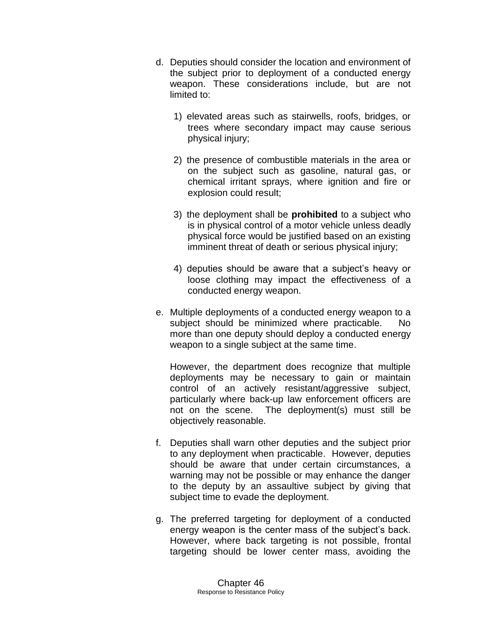- d. Deputies should consider the location and environment of the subject prior to deployment of a conducted energy weapon. These considerations include, but are not limited to:
	- 1) elevated areas such as stairwells, roofs, bridges, or trees where secondary impact may cause serious physical injury;
	- 2) the presence of combustible materials in the area or on the subject such as gasoline, natural gas, or chemical irritant sprays, where ignition and fire or explosion could result;
	- 3) the deployment shall be **prohibited** to a subject who is in physical control of a motor vehicle unless deadly physical force would be justified based on an existing imminent threat of death or serious physical injury;
	- 4) deputies should be aware that a subject's heavy or loose clothing may impact the effectiveness of a conducted energy weapon.
- e. Multiple deployments of a conducted energy weapon to a subject should be minimized where practicable. No more than one deputy should deploy a conducted energy weapon to a single subject at the same time.

However, the department does recognize that multiple deployments may be necessary to gain or maintain control of an actively resistant/aggressive subject, particularly where back-up law enforcement officers are not on the scene. The deployment(s) must still be objectively reasonable.

- f. Deputies shall warn other deputies and the subject prior to any deployment when practicable. However, deputies should be aware that under certain circumstances, a warning may not be possible or may enhance the danger to the deputy by an assaultive subject by giving that subject time to evade the deployment.
- g. The preferred targeting for deployment of a conducted energy weapon is the center mass of the subject's back. However, where back targeting is not possible, frontal targeting should be lower center mass, avoiding the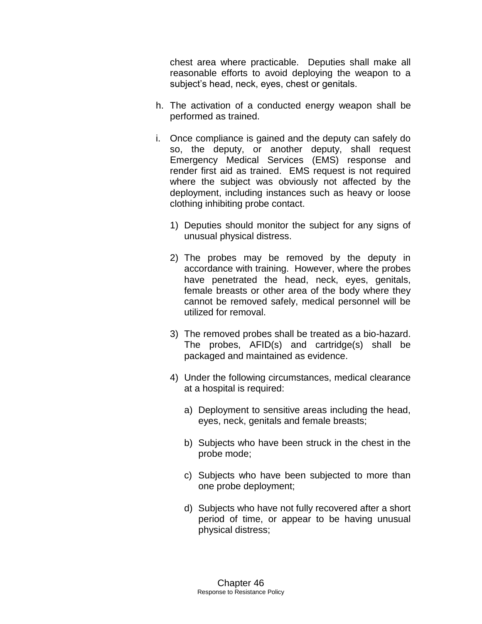chest area where practicable. Deputies shall make all reasonable efforts to avoid deploying the weapon to a subject's head, neck, eyes, chest or genitals.

- h. The activation of a conducted energy weapon shall be performed as trained.
- i. Once compliance is gained and the deputy can safely do so, the deputy, or another deputy, shall request Emergency Medical Services (EMS) response and render first aid as trained. EMS request is not required where the subject was obviously not affected by the deployment, including instances such as heavy or loose clothing inhibiting probe contact.
	- 1) Deputies should monitor the subject for any signs of unusual physical distress.
	- 2) The probes may be removed by the deputy in accordance with training. However, where the probes have penetrated the head, neck, eyes, genitals, female breasts or other area of the body where they cannot be removed safely, medical personnel will be utilized for removal.
	- 3) The removed probes shall be treated as a bio-hazard. The probes, AFID(s) and cartridge(s) shall be packaged and maintained as evidence.
	- 4) Under the following circumstances, medical clearance at a hospital is required:
		- a) Deployment to sensitive areas including the head, eyes, neck, genitals and female breasts;
		- b) Subjects who have been struck in the chest in the probe mode;
		- c) Subjects who have been subjected to more than one probe deployment;
		- d) Subjects who have not fully recovered after a short period of time, or appear to be having unusual physical distress;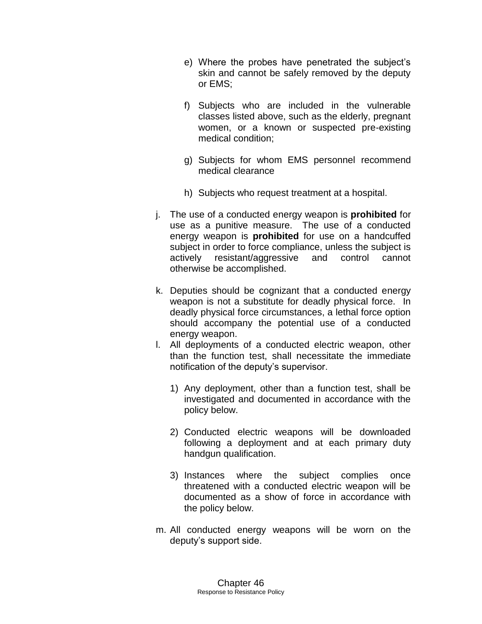- e) Where the probes have penetrated the subject's skin and cannot be safely removed by the deputy or EMS;
- f) Subjects who are included in the vulnerable classes listed above, such as the elderly, pregnant women, or a known or suspected pre-existing medical condition;
- g) Subjects for whom EMS personnel recommend medical clearance
- h) Subjects who request treatment at a hospital.
- j. The use of a conducted energy weapon is **prohibited** for use as a punitive measure. The use of a conducted energy weapon is **prohibited** for use on a handcuffed subject in order to force compliance, unless the subject is actively resistant/aggressive and control cannot otherwise be accomplished.
- k. Deputies should be cognizant that a conducted energy weapon is not a substitute for deadly physical force. In deadly physical force circumstances, a lethal force option should accompany the potential use of a conducted energy weapon.
- l. All deployments of a conducted electric weapon, other than the function test, shall necessitate the immediate notification of the deputy's supervisor.
	- 1) Any deployment, other than a function test, shall be investigated and documented in accordance with the policy below.
	- 2) Conducted electric weapons will be downloaded following a deployment and at each primary duty handgun qualification.
	- 3) Instances where the subject complies once threatened with a conducted electric weapon will be documented as a show of force in accordance with the policy below.
- m. All conducted energy weapons will be worn on the deputy's support side.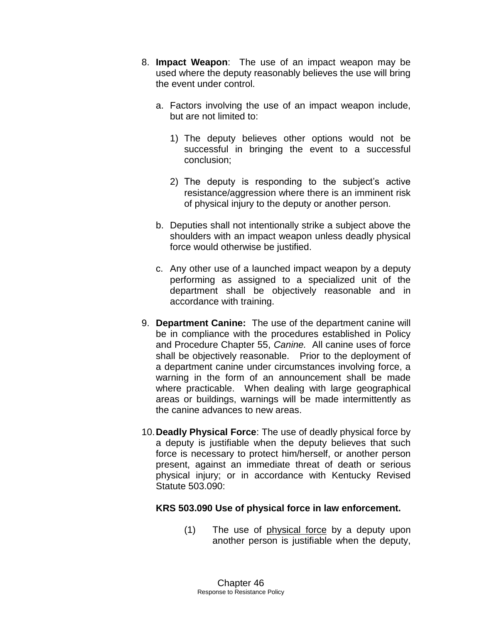- 8. **Impact Weapon**: The use of an impact weapon may be used where the deputy reasonably believes the use will bring the event under control.
	- a. Factors involving the use of an impact weapon include, but are not limited to:
		- 1) The deputy believes other options would not be successful in bringing the event to a successful conclusion;
		- 2) The deputy is responding to the subject's active resistance/aggression where there is an imminent risk of physical injury to the deputy or another person.
	- b. Deputies shall not intentionally strike a subject above the shoulders with an impact weapon unless deadly physical force would otherwise be justified.
	- c. Any other use of a launched impact weapon by a deputy performing as assigned to a specialized unit of the department shall be objectively reasonable and in accordance with training.
- 9. **Department Canine:** The use of the department canine will be in compliance with the procedures established in Policy and Procedure Chapter 55, *Canine.* All canine uses of force shall be objectively reasonable.Prior to the deployment of a department canine under circumstances involving force, a warning in the form of an announcement shall be made where practicable. When dealing with large geographical areas or buildings, warnings will be made intermittently as the canine advances to new areas.
- 10.**Deadly Physical Force**: The use of deadly physical force by a deputy is justifiable when the deputy believes that such force is necessary to protect him/herself, or another person present, against an immediate threat of death or serious physical injury; or in accordance with Kentucky Revised Statute 503.090:

## **KRS 503.090 Use of physical force in law enforcement.**

(1) The use of physical force by a deputy upon another person is justifiable when the deputy,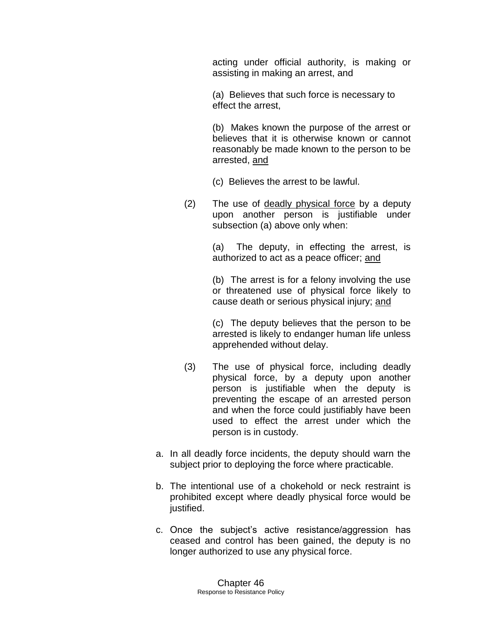acting under official authority, is making or assisting in making an arrest, and

(a) Believes that such force is necessary to effect the arrest,

(b) Makes known the purpose of the arrest or believes that it is otherwise known or cannot reasonably be made known to the person to be arrested, and

(c) Believes the arrest to be lawful.

(2) The use of deadly physical force by a deputy upon another person is justifiable under subsection (a) above only when:

> (a) The deputy, in effecting the arrest, is authorized to act as a peace officer; and

> (b) The arrest is for a felony involving the use or threatened use of physical force likely to cause death or serious physical injury; and

> (c) The deputy believes that the person to be arrested is likely to endanger human life unless apprehended without delay.

- (3) The use of physical force, including deadly physical force, by a deputy upon another person is justifiable when the deputy is preventing the escape of an arrested person and when the force could justifiably have been used to effect the arrest under which the person is in custody.
- a. In all deadly force incidents, the deputy should warn the subject prior to deploying the force where practicable.
- b. The intentional use of a chokehold or neck restraint is prohibited except where deadly physical force would be justified.
- c. Once the subject's active resistance/aggression has ceased and control has been gained, the deputy is no longer authorized to use any physical force.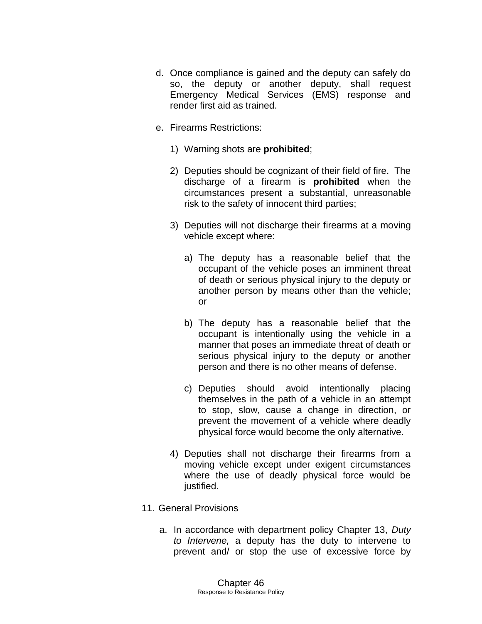- d. Once compliance is gained and the deputy can safely do so, the deputy or another deputy, shall request Emergency Medical Services (EMS) response and render first aid as trained.
- e. Firearms Restrictions:
	- 1) Warning shots are **prohibited**;
	- 2) Deputies should be cognizant of their field of fire. The discharge of a firearm is **prohibited** when the circumstances present a substantial, unreasonable risk to the safety of innocent third parties;
	- 3) Deputies will not discharge their firearms at a moving vehicle except where:
		- a) The deputy has a reasonable belief that the occupant of the vehicle poses an imminent threat of death or serious physical injury to the deputy or another person by means other than the vehicle; or
		- b) The deputy has a reasonable belief that the occupant is intentionally using the vehicle in a manner that poses an immediate threat of death or serious physical injury to the deputy or another person and there is no other means of defense.
		- c) Deputies should avoid intentionally placing themselves in the path of a vehicle in an attempt to stop, slow, cause a change in direction, or prevent the movement of a vehicle where deadly physical force would become the only alternative.
	- 4) Deputies shall not discharge their firearms from a moving vehicle except under exigent circumstances where the use of deadly physical force would be justified.
- 11. General Provisions
	- a. In accordance with department policy Chapter 13, *Duty to Intervene,* a deputy has the duty to intervene to prevent and/ or stop the use of excessive force by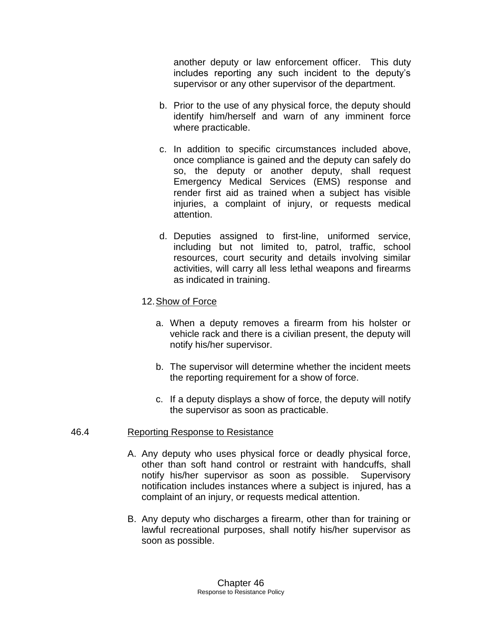another deputy or law enforcement officer. This duty includes reporting any such incident to the deputy's supervisor or any other supervisor of the department.

- b. Prior to the use of any physical force, the deputy should identify him/herself and warn of any imminent force where practicable.
- c. In addition to specific circumstances included above, once compliance is gained and the deputy can safely do so, the deputy or another deputy, shall request Emergency Medical Services (EMS) response and render first aid as trained when a subject has visible injuries, a complaint of injury, or requests medical attention.
- d. Deputies assigned to first-line, uniformed service, including but not limited to, patrol, traffic, school resources, court security and details involving similar activities, will carry all less lethal weapons and firearms as indicated in training.

#### 12.Show of Force

- a. When a deputy removes a firearm from his holster or vehicle rack and there is a civilian present, the deputy will notify his/her supervisor.
- b. The supervisor will determine whether the incident meets the reporting requirement for a show of force.
- c. If a deputy displays a show of force, the deputy will notify the supervisor as soon as practicable.

#### 46.4 Reporting Response to Resistance

- A. Any deputy who uses physical force or deadly physical force, other than soft hand control or restraint with handcuffs, shall notify his/her supervisor as soon as possible. Supervisory notification includes instances where a subject is injured, has a complaint of an injury, or requests medical attention.
- B. Any deputy who discharges a firearm, other than for training or lawful recreational purposes, shall notify his/her supervisor as soon as possible.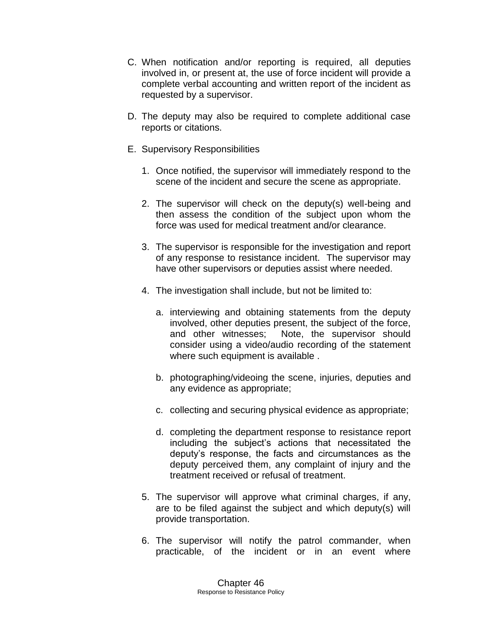- C. When notification and/or reporting is required, all deputies involved in, or present at, the use of force incident will provide a complete verbal accounting and written report of the incident as requested by a supervisor.
- D. The deputy may also be required to complete additional case reports or citations.
- E. Supervisory Responsibilities
	- 1. Once notified, the supervisor will immediately respond to the scene of the incident and secure the scene as appropriate.
	- 2. The supervisor will check on the deputy(s) well-being and then assess the condition of the subject upon whom the force was used for medical treatment and/or clearance.
	- 3. The supervisor is responsible for the investigation and report of any response to resistance incident. The supervisor may have other supervisors or deputies assist where needed.
	- 4. The investigation shall include, but not be limited to:
		- a. interviewing and obtaining statements from the deputy involved, other deputies present, the subject of the force, and other witnesses; Note, the supervisor should consider using a video/audio recording of the statement where such equipment is available.
		- b. photographing/videoing the scene, injuries, deputies and any evidence as appropriate;
		- c. collecting and securing physical evidence as appropriate;
		- d. completing the department response to resistance report including the subject's actions that necessitated the deputy's response, the facts and circumstances as the deputy perceived them, any complaint of injury and the treatment received or refusal of treatment.
	- 5. The supervisor will approve what criminal charges, if any, are to be filed against the subject and which deputy(s) will provide transportation.
	- 6. The supervisor will notify the patrol commander, when practicable, of the incident or in an event where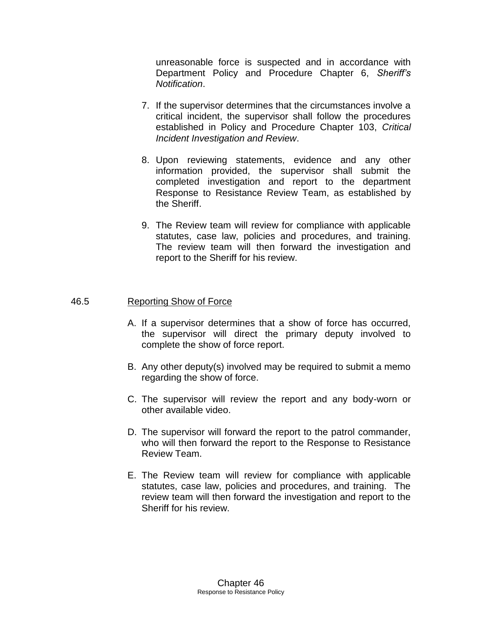unreasonable force is suspected and in accordance with Department Policy and Procedure Chapter 6, *Sheriff's Notification*.

- 7. If the supervisor determines that the circumstances involve a critical incident, the supervisor shall follow the procedures established in Policy and Procedure Chapter 103, *Critical Incident Investigation and Review*.
- 8. Upon reviewing statements, evidence and any other information provided, the supervisor shall submit the completed investigation and report to the department Response to Resistance Review Team, as established by the Sheriff.
- 9. The Review team will review for compliance with applicable statutes, case law, policies and procedures, and training. The review team will then forward the investigation and report to the Sheriff for his review.

#### 46.5 Reporting Show of Force

- A. If a supervisor determines that a show of force has occurred, the supervisor will direct the primary deputy involved to complete the show of force report.
- B. Any other deputy(s) involved may be required to submit a memo regarding the show of force.
- C. The supervisor will review the report and any body-worn or other available video.
- D. The supervisor will forward the report to the patrol commander, who will then forward the report to the Response to Resistance Review Team.
- E. The Review team will review for compliance with applicable statutes, case law, policies and procedures, and training. The review team will then forward the investigation and report to the Sheriff for his review.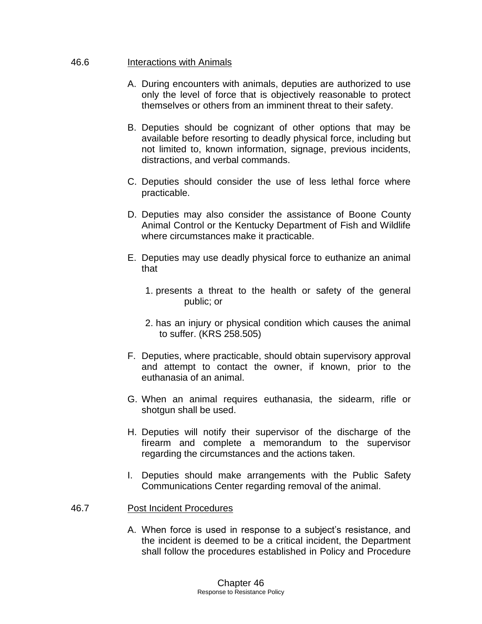#### 46.6 Interactions with Animals

- A. During encounters with animals, deputies are authorized to use only the level of force that is objectively reasonable to protect themselves or others from an imminent threat to their safety.
- B. Deputies should be cognizant of other options that may be available before resorting to deadly physical force, including but not limited to, known information, signage, previous incidents, distractions, and verbal commands.
- C. Deputies should consider the use of less lethal force where practicable.
- D. Deputies may also consider the assistance of Boone County Animal Control or the Kentucky Department of Fish and Wildlife where circumstances make it practicable.
- E. Deputies may use deadly physical force to euthanize an animal that
	- 1. presents a threat to the health or safety of the general public; or
	- 2. has an injury or physical condition which causes the animal to suffer. (KRS 258.505)
- F. Deputies, where practicable, should obtain supervisory approval and attempt to contact the owner, if known, prior to the euthanasia of an animal.
- G. When an animal requires euthanasia, the sidearm, rifle or shotgun shall be used.
- H. Deputies will notify their supervisor of the discharge of the firearm and complete a memorandum to the supervisor regarding the circumstances and the actions taken.
- I. Deputies should make arrangements with the Public Safety Communications Center regarding removal of the animal.

#### 46.7 Post Incident Procedures

A. When force is used in response to a subject's resistance, and the incident is deemed to be a critical incident, the Department shall follow the procedures established in Policy and Procedure